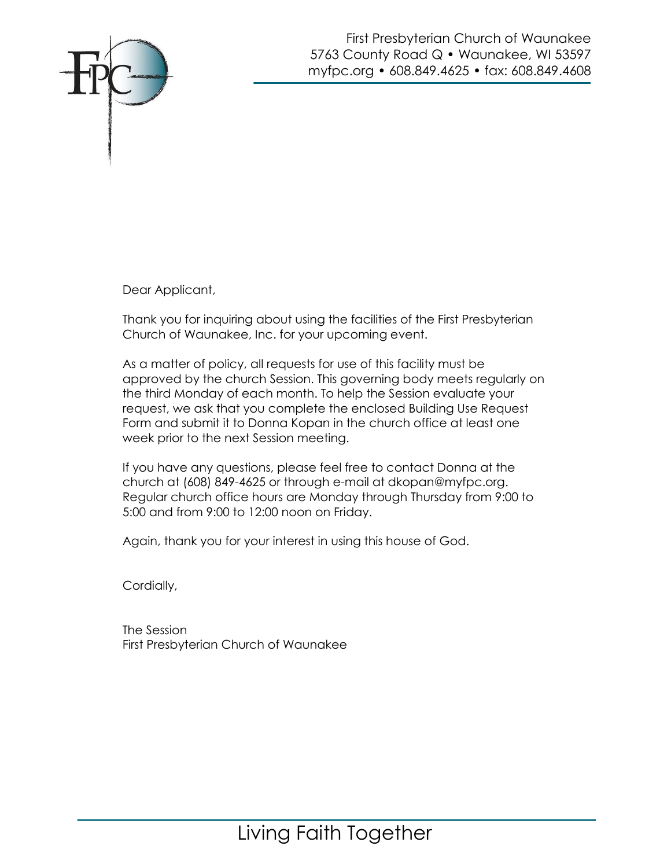

First Presbyterian Church of Waunakee 5763 County Road Q · Waunakee, WI 53597 myfpc.org • 608.849.4625 • fax: 608.849.4608

Dear Applicant,

Thank you for inquiring about using the facilities of the First Presbyterian Church of Waunakee, Inc. for your upcoming event.

As a matter of policy, all requests for use of this facility must be approved by the church Session. This governing body meets regularly on the third Monday of each month. To help the Session evaluate your request, we ask that you complete the enclosed Building Use Request Form and submit it to Donna Kopan in the church office at least one week prior to the next Session meeting.

If you have any questions, please feel free to contact Donna at the church at (608) 849-4625 or through e-mail at dkopan@myfpc.org. Regular church office hours are Monday through Thursday from 9:00 to 5:00 and from 9:00 to 12:00 noon on Friday.

Again, thank you for your interest in using this house of God.

Cordially,

The Session First Presbyterian Church of Waunakee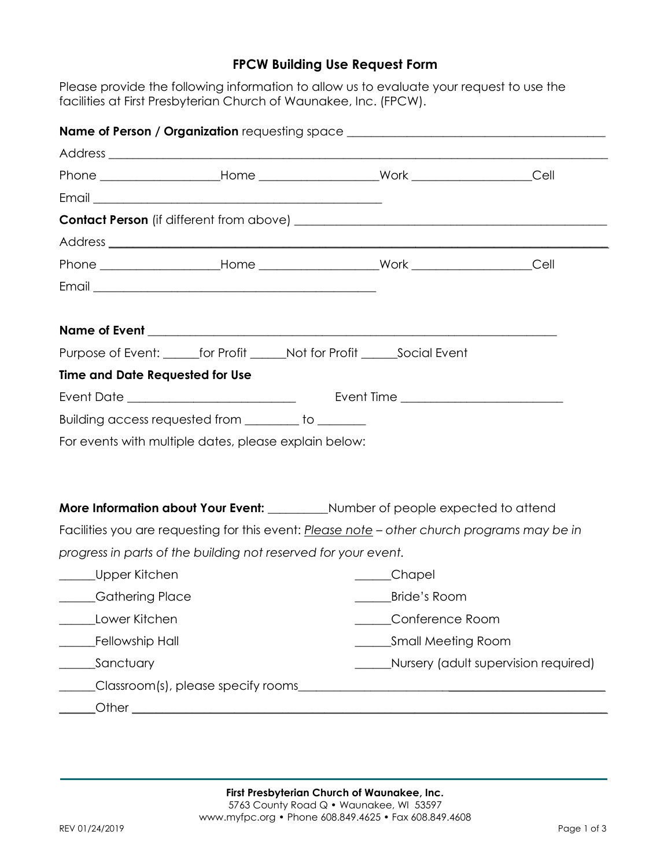## FPCW Building Use Request Form

Please provide the following information to allow us to evaluate your request to use the facilities at First Presbyterian Church of Waunakee, Inc. (FPCW).

|                                                                             |  |  | Name of Person / Organization requesting space _________________________________            |  |
|-----------------------------------------------------------------------------|--|--|---------------------------------------------------------------------------------------------|--|
|                                                                             |  |  |                                                                                             |  |
|                                                                             |  |  |                                                                                             |  |
|                                                                             |  |  |                                                                                             |  |
|                                                                             |  |  |                                                                                             |  |
|                                                                             |  |  |                                                                                             |  |
|                                                                             |  |  |                                                                                             |  |
|                                                                             |  |  |                                                                                             |  |
|                                                                             |  |  |                                                                                             |  |
| Purpose of Event: _______for Profit ______Not for Profit ______Social Event |  |  |                                                                                             |  |
| <b>Time and Date Requested for Use</b>                                      |  |  |                                                                                             |  |
|                                                                             |  |  |                                                                                             |  |
| Building access requested from ________ to _______                          |  |  |                                                                                             |  |
| For events with multiple dates, please explain below:                       |  |  |                                                                                             |  |
|                                                                             |  |  |                                                                                             |  |
|                                                                             |  |  | More Information about Your Event: ___________ Number of people expected to attend          |  |
|                                                                             |  |  | Facilities you are requesting for this event: Please note - other church programs may be in |  |
| progress in parts of the building not reserved for your event.              |  |  |                                                                                             |  |
| ______Upper Kitchen                                                         |  |  | ____Chapel                                                                                  |  |
| ____Gathering Place                                                         |  |  | Bride's Room                                                                                |  |
| ________Lower Kitchen                                                       |  |  | Conference Room                                                                             |  |
| Fellowship Hall                                                             |  |  | Small Meeting Room                                                                          |  |
| Sanctuary                                                                   |  |  | Nursery (adult supervision required)                                                        |  |
|                                                                             |  |  |                                                                                             |  |
|                                                                             |  |  |                                                                                             |  |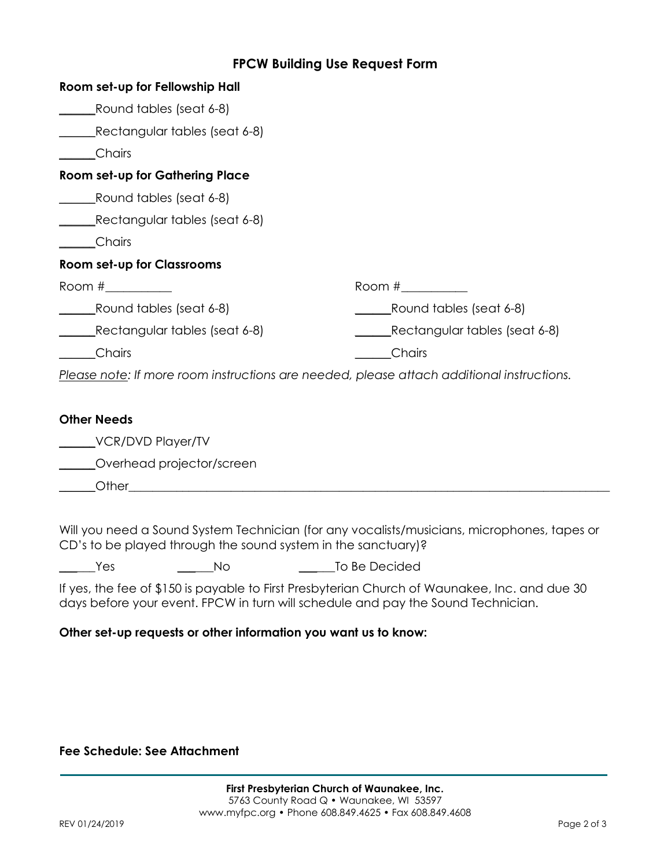### FPCW Building Use Request Form

| Room set-up for Fellowship Hall   |                                                                                           |  |  |
|-----------------------------------|-------------------------------------------------------------------------------------------|--|--|
| Round tables (seat 6-8)           |                                                                                           |  |  |
| Rectangular tables (seat 6-8)     |                                                                                           |  |  |
| <b>Chairs</b>                     |                                                                                           |  |  |
| Room set-up for Gathering Place   |                                                                                           |  |  |
| Round tables (seat 6-8)           |                                                                                           |  |  |
| Rectangular tables (seat 6-8)     |                                                                                           |  |  |
| ___Chairs                         |                                                                                           |  |  |
| <b>Room set-up for Classrooms</b> |                                                                                           |  |  |
|                                   |                                                                                           |  |  |
| Round tables (seat 6-8)           | Round tables (seat 6-8)                                                                   |  |  |
| Rectangular tables (seat 6-8)     | Rectangular tables (seat 6-8)                                                             |  |  |
| <b>Chairs</b>                     | Chairs                                                                                    |  |  |
|                                   | Please note: If more room instructions are needed, please attach additional instructions. |  |  |
|                                   |                                                                                           |  |  |
| <b>Other Needs</b>                |                                                                                           |  |  |
| VCR/DVD Player/TV                 |                                                                                           |  |  |
| Overhead projector/screen         |                                                                                           |  |  |

 $\bigcirc$  ther

Will you need a Sound System Technician (for any vocalists/musicians, microphones, tapes or CD's to be played through the sound system in the sanctuary)?

\_\_\_\_\_\_Yes \_\_\_\_\_\_No \_\_\_\_\_\_To Be Decided

If yes, the fee of \$150 is payable to First Presbyterian Church of Waunakee, Inc. and due 30 days before your event. FPCW in turn will schedule and pay the Sound Technician.

#### Other set-up requests or other information you want us to know:

#### Fee Schedule: See Attachment